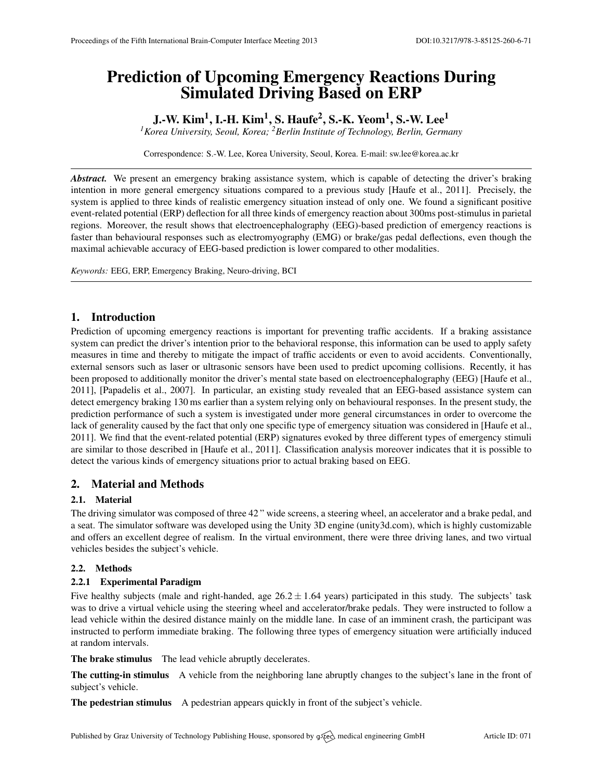# Prediction of Upcoming Emergency Reactions During Simulated Driving Based on ERP

J.-W. Kim $^1$ , I.-H. Kim $^1$ , S. Haufe $^2$ , S.-K. Yeom $^1$ , S.-W. Lee $^1$ 

*<sup>1</sup>Korea University, Seoul, Korea; <sup>2</sup>Berlin Institute of Technology, Berlin, Germany*

Correspondence: S.-W. Lee, Korea University, Seoul, Korea. E-mail: [sw.lee@korea.ac.kr](mailto:sw.lee@korea.ac.kr)

Abstract. We present an emergency braking assistance system, which is capable of detecting the driver's braking intention in more general emergency situations compared to a previous study [\[Haufe et al.,](#page-1-0) [2011\]](#page-1-0). Precisely, the system is applied to three kinds of realistic emergency situation instead of only one. We found a significant positive event-related potential (ERP) deflection for all three kinds of emergency reaction about 300ms post-stimulus in parietal regions. Moreover, the result shows that electroencephalography (EEG)-based prediction of emergency reactions is faster than behavioural responses such as electromyography (EMG) or brake/gas pedal deflections, even though the maximal achievable accuracy of EEG-based prediction is lower compared to other modalities.

*Keywords:* EEG, ERP, Emergency Braking, Neuro-driving, BCI

# 1. Introduction

Prediction of upcoming emergency reactions is important for preventing traffic accidents. If a braking assistance system can predict the driver's intention prior to the behavioral response, this information can be used to apply safety measures in time and thereby to mitigate the impact of traffic accidents or even to avoid accidents. Conventionally, external sensors such as laser or ultrasonic sensors have been used to predict upcoming collisions. Recently, it has been proposed to additionally monitor the driver's mental state based on electroencephalography (EEG) [\[Haufe et al.,](#page-1-0) [2011\]](#page-1-0), [\[Papadelis et al.,](#page-1-1) [2007\]](#page-1-1). In particular, an existing study revealed that an EEG-based assistance system can detect emergency braking 130 ms earlier than a system relying only on behavioural responses. In the present study, the prediction performance of such a system is investigated under more general circumstances in order to overcome the lack of generality caused by the fact that only one specific type of emergency situation was considered in [\[Haufe et al.,](#page-1-0) [2011\]](#page-1-0). We find that the event-related potential (ERP) signatures evoked by three different types of emergency stimuli are similar to those described in [\[Haufe et al.,](#page-1-0) [2011\]](#page-1-0). Classification analysis moreover indicates that it is possible to detect the various kinds of emergency situations prior to actual braking based on EEG.

# 2. Material and Methods

## 2.1. Material

The driving simulator was composed of three 42 " wide screens, a steering wheel, an accelerator and a brake pedal, and a seat. The simulator software was developed using the Unity 3D engine [\(unity3d.com\)](unity3d.com), which is highly customizable and offers an excellent degree of realism. In the virtual environment, there were three driving lanes, and two virtual vehicles besides the subject's vehicle.

## 2.2. Methods

## 2.2.1 Experimental Paradigm

Five healthy subjects (male and right-handed, age  $26.2 \pm 1.64$  years) participated in this study. The subjects' task was to drive a virtual vehicle using the steering wheel and accelerator/brake pedals. They were instructed to follow a lead vehicle within the desired distance mainly on the middle lane. In case of an imminent crash, the participant was instructed to perform immediate braking. The following three types of emergency situation were artificially induced at random intervals.

The brake stimulus The lead vehicle abruptly decelerates.

The cutting-in stimulus A vehicle from the neighboring lane abruptly changes to the subject's lane in the front of subject's vehicle.

The pedestrian stimulus A pedestrian appears quickly in front of the subject's vehicle.